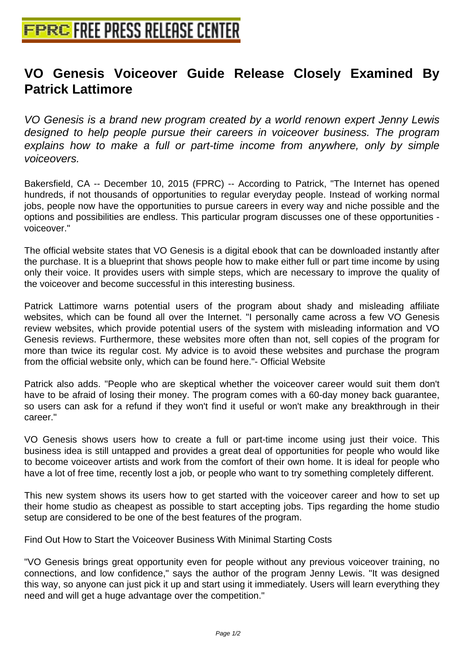## **[VO Genesis Voiceover Guide R](http://www.free-press-release-center.info)elease Closely Examined By Patrick Lattimore**

VO Genesis is a brand new program created by a world renown expert Jenny Lewis designed to help people pursue their careers in voiceover business. The program explains how to make a full or part-time income from anywhere, only by simple voiceovers.

Bakersfield, CA -- December 10, 2015 (FPRC) -- According to Patrick, "The Internet has opened hundreds, if not thousands of opportunities to regular everyday people. Instead of working normal jobs, people now have the opportunities to pursue careers in every way and niche possible and the options and possibilities are endless. This particular program discusses one of these opportunities voiceover."

The official website states that VO Genesis is a digital ebook that can be downloaded instantly after the purchase. It is a blueprint that shows people how to make either full or part time income by using only their voice. It provides users with simple steps, which are necessary to improve the quality of the voiceover and become successful in this interesting business.

Patrick Lattimore warns potential users of the program about shady and misleading affiliate websites, which can be found all over the Internet. "I personally came across a few VO Genesis review websites, which provide potential users of the system with misleading information and VO Genesis reviews. Furthermore, these websites more often than not, sell copies of the program for more than twice its regular cost. My advice is to avoid these websites and purchase the program from the official website only, which can be found here."- Official Website

Patrick also adds. "People who are skeptical whether the voiceover career would suit them don't have to be afraid of losing their money. The program comes with a 60-day money back guarantee, so users can ask for a refund if they won't find it useful or won't make any breakthrough in their career."

VO Genesis shows users how to create a full or part-time income using just their voice. This business idea is still untapped and provides a great deal of opportunities for people who would like to become voiceover artists and work from the comfort of their own home. It is ideal for people who have a lot of free time, recently lost a job, or people who want to try something completely different.

This new system shows its users how to get started with the voiceover career and how to set up their home studio as cheapest as possible to start accepting jobs. Tips regarding the home studio setup are considered to be one of the best features of the program.

Find Out How to Start the Voiceover Business With Minimal Starting Costs

"VO Genesis brings great opportunity even for people without any previous voiceover training, no connections, and low confidence," says the author of the program Jenny Lewis. "It was designed this way, so anyone can just pick it up and start using it immediately. Users will learn everything they need and will get a huge advantage over the competition."